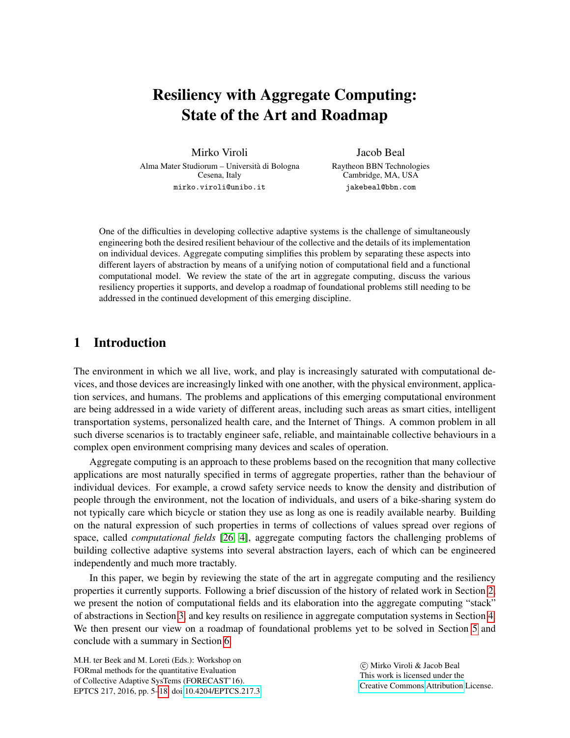# Resiliency with Aggregate Computing: State of the Art and Roadmap

Mirko Viroli Alma Mater Studiorum – Universita di Bologna ` Cesena, Italy mirko.viroli@unibo.it

Jacob Beal Raytheon BBN Technologies Cambridge, MA, USA jakebeal@bbn.com

One of the difficulties in developing collective adaptive systems is the challenge of simultaneously engineering both the desired resilient behaviour of the collective and the details of its implementation on individual devices. Aggregate computing simplifies this problem by separating these aspects into different layers of abstraction by means of a unifying notion of computational field and a functional computational model. We review the state of the art in aggregate computing, discuss the various resiliency properties it supports, and develop a roadmap of foundational problems still needing to be addressed in the continued development of this emerging discipline.

## 1 Introduction

The environment in which we all live, work, and play is increasingly saturated with computational devices, and those devices are increasingly linked with one another, with the physical environment, application services, and humans. The problems and applications of this emerging computational environment are being addressed in a wide variety of different areas, including such areas as smart cities, intelligent transportation systems, personalized health care, and the Internet of Things. A common problem in all such diverse scenarios is to tractably engineer safe, reliable, and maintainable collective behaviours in a complex open environment comprising many devices and scales of operation.

Aggregate computing is an approach to these problems based on the recognition that many collective applications are most naturally specified in terms of aggregate properties, rather than the behaviour of individual devices. For example, a crowd safety service needs to know the density and distribution of people through the environment, not the location of individuals, and users of a bike-sharing system do not typically care which bicycle or station they use as long as one is readily available nearby. Building on the natural expression of such properties in terms of collections of values spread over regions of space, called *computational fields* [\[26,](#page-12-0) [4\]](#page-11-0), aggregate computing factors the challenging problems of building collective adaptive systems into several abstraction layers, each of which can be engineered independently and much more tractably.

In this paper, we begin by reviewing the state of the art in aggregate computing and the resiliency properties it currently supports. Following a brief discussion of the history of related work in Section [2,](#page-1-0) we present the notion of computational fields and its elaboration into the aggregate computing "stack" of abstractions in Section [3,](#page-1-1) and key results on resilience in aggregate computation systems in Section [4.](#page-5-0) We then present our view on a roadmap of foundational problems yet to be solved in Section [5](#page-8-0) and conclude with a summary in Section [6.](#page-10-0)

M.H. ter Beek and M. Loreti (Eds.): Workshop on FORmal methods for the quantitative Evaluation of Collective Adaptive SysTems (FORECAST'16). EPTCS 217, 2016, pp. 5[–18,](#page-13-0) doi[:10.4204/EPTCS.217.3](http://dx.doi.org/10.4204/EPTCS.217.3)

 c Mirko Viroli & Jacob Beal This work is licensed under the [Creative Commons](http://creativecommons.org) [Attribution](http://creativecommons.org/licenses/by/3.0/) License.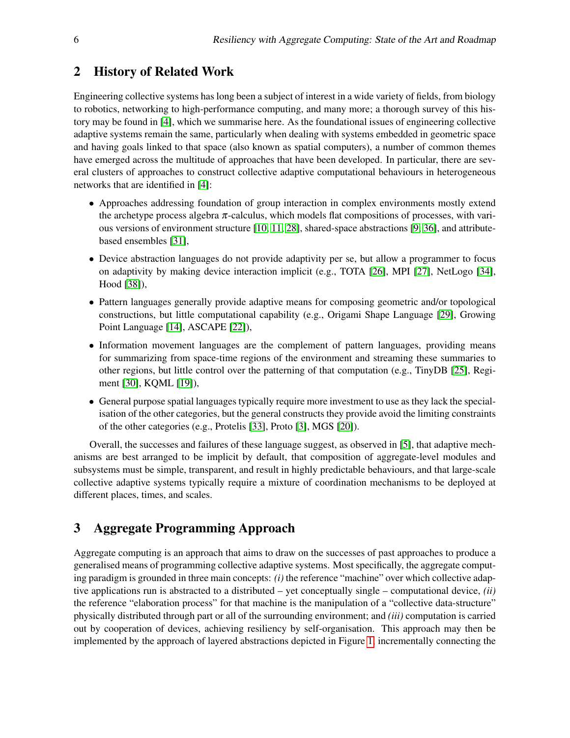### <span id="page-1-0"></span>2 History of Related Work

Engineering collective systems has long been a subject of interest in a wide variety of fields, from biology to robotics, networking to high-performance computing, and many more; a thorough survey of this history may be found in [\[4\]](#page-11-0), which we summarise here. As the foundational issues of engineering collective adaptive systems remain the same, particularly when dealing with systems embedded in geometric space and having goals linked to that space (also known as spatial computers), a number of common themes have emerged across the multitude of approaches that have been developed. In particular, there are several clusters of approaches to construct collective adaptive computational behaviours in heterogeneous networks that are identified in [\[4\]](#page-11-0):

- Approaches addressing foundation of group interaction in complex environments mostly extend the archetype process algebra  $\pi$ -calculus, which models flat compositions of processes, with various versions of environment structure [\[10,](#page-11-1) [11,](#page-11-2) [28\]](#page-12-1), shared-space abstractions [\[9,](#page-11-3) [36\]](#page-13-1), and attributebased ensembles [\[31\]](#page-13-2),
- Device abstraction languages do not provide adaptivity per se, but allow a programmer to focus on adaptivity by making device interaction implicit (e.g., TOTA [\[26\]](#page-12-0), MPI [\[27\]](#page-12-2), NetLogo [\[34\]](#page-13-3), Hood [\[38\]](#page-13-4)),
- Pattern languages generally provide adaptive means for composing geometric and/or topological constructions, but little computational capability (e.g., Origami Shape Language [\[29\]](#page-12-3), Growing Point Language [\[14\]](#page-12-4), ASCAPE [\[22\]](#page-12-5)),
- Information movement languages are the complement of pattern languages, providing means for summarizing from space-time regions of the environment and streaming these summaries to other regions, but little control over the patterning of that computation (e.g., TinyDB [\[25\]](#page-12-6), Regiment [\[30\]](#page-12-7), KQML [\[19\]](#page-12-8)),
- General purpose spatial languages typically require more investment to use as they lack the specialisation of the other categories, but the general constructs they provide avoid the limiting constraints of the other categories (e.g., Protelis [\[33\]](#page-13-5), Proto [\[3\]](#page-11-4), MGS [\[20\]](#page-12-9)).

Overall, the successes and failures of these language suggest, as observed in [\[5\]](#page-11-5), that adaptive mechanisms are best arranged to be implicit by default, that composition of aggregate-level modules and subsystems must be simple, transparent, and result in highly predictable behaviours, and that large-scale collective adaptive systems typically require a mixture of coordination mechanisms to be deployed at different places, times, and scales.

## <span id="page-1-1"></span>3 Aggregate Programming Approach

Aggregate computing is an approach that aims to draw on the successes of past approaches to produce a generalised means of programming collective adaptive systems. Most specifically, the aggregate computing paradigm is grounded in three main concepts: *(i)* the reference "machine" over which collective adaptive applications run is abstracted to a distributed – yet conceptually single – computational device, *(ii)* the reference "elaboration process" for that machine is the manipulation of a "collective data-structure" physically distributed through part or all of the surrounding environment; and *(iii)* computation is carried out by cooperation of devices, achieving resiliency by self-organisation. This approach may then be implemented by the approach of layered abstractions depicted in Figure [1,](#page-2-0) incrementally connecting the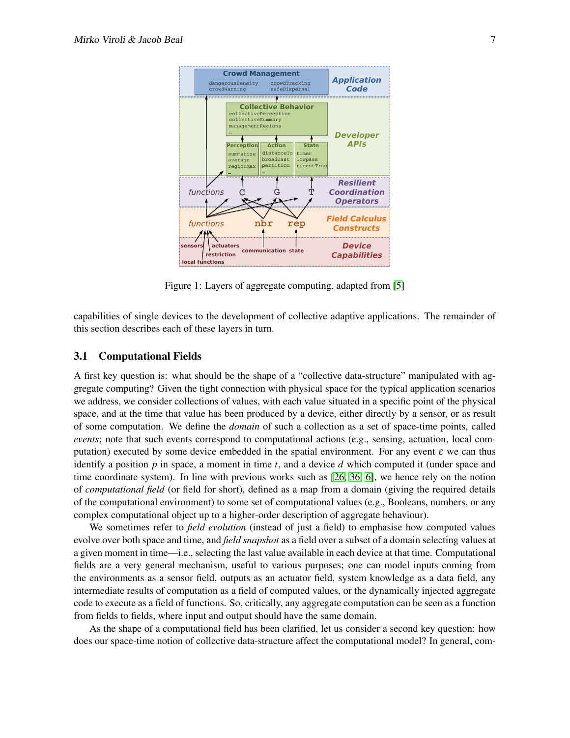

<span id="page-2-0"></span>Figure 1: Layers of aggregate computing, adapted from [\[5\]](#page-11-5)

capabilities of single devices to the development of collective adaptive applications. The remainder of this section describes each of these layers in turn.

#### 3.1 Computational Fields

A first key question is: what should be the shape of a "collective data-structure" manipulated with aggregate computing? Given the tight connection with physical space for the typical application scenarios we address, we consider collections of values, with each value situated in a specific point of the physical space, and at the time that value has been produced by a device, either directly by a sensor, or as result of some computation. We define the *domain* of such a collection as a set of space-time points, called *events*; note that such events correspond to computational actions (e.g., sensing, actuation, local computation) executed by some device embedded in the spatial environment. For any event  $\varepsilon$  we can thus identify a position *p* in space, a moment in time *t*, and a device *d* which computed it (under space and time coordinate system). In line with previous works such as [\[26,](#page-12-0) [36,](#page-13-1) [6\]](#page-11-6), we hence rely on the notion of *computational field* (or field for short), defined as a map from a domain (giving the required details of the computational environment) to some set of computational values (e.g., Booleans, numbers, or any complex computational object up to a higher-order description of aggregate behaviour).

We sometimes refer to *field evolution* (instead of just a field) to emphasise how computed values evolve over both space and time, and *field snapshot* as a field over a subset of a domain selecting values at a given moment in time—i.e., selecting the last value available in each device at that time. Computational fields are a very general mechanism, useful to various purposes; one can model inputs coming from the environments as a sensor field, outputs as an actuator field, system knowledge as a data field, any intermediate results of computation as a field of computed values, or the dynamically injected aggregate code to execute as a field of functions. So, critically, any aggregate computation can be seen as a function from fields to fields, where input and output should have the same domain.

As the shape of a computational field has been clarified, let us consider a second key question: how does our space-time notion of collective data-structure affect the computational model? In general, com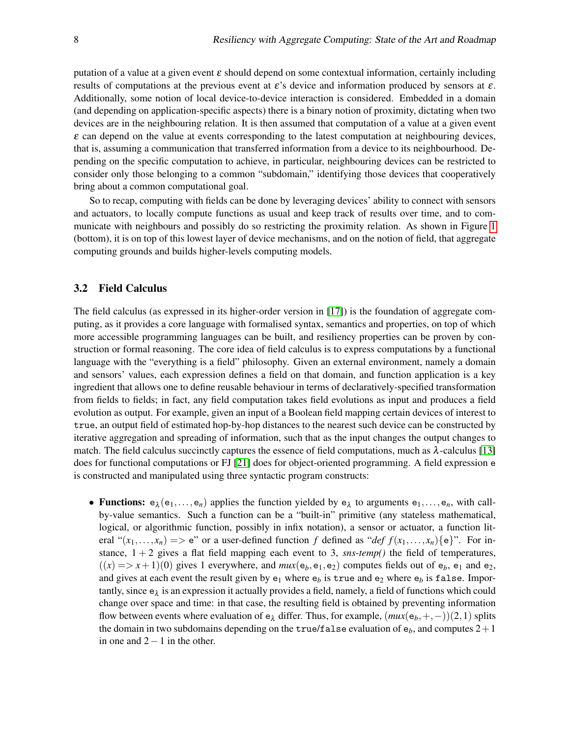putation of a value at a given event  $\varepsilon$  should depend on some contextual information, certainly including results of computations at the previous event at  $\varepsilon$ 's device and information produced by sensors at  $\varepsilon$ . Additionally, some notion of local device-to-device interaction is considered. Embedded in a domain (and depending on application-specific aspects) there is a binary notion of proximity, dictating when two devices are in the neighbouring relation. It is then assumed that computation of a value at a given event  $\varepsilon$  can depend on the value at events corresponding to the latest computation at neighbouring devices, that is, assuming a communication that transferred information from a device to its neighbourhood. Depending on the specific computation to achieve, in particular, neighbouring devices can be restricted to consider only those belonging to a common "subdomain," identifying those devices that cooperatively bring about a common computational goal.

So to recap, computing with fields can be done by leveraging devices' ability to connect with sensors and actuators, to locally compute functions as usual and keep track of results over time, and to communicate with neighbours and possibly do so restricting the proximity relation. As shown in Figure [1](#page-2-0) (bottom), it is on top of this lowest layer of device mechanisms, and on the notion of field, that aggregate computing grounds and builds higher-levels computing models.

#### 3.2 Field Calculus

The field calculus (as expressed in its higher-order version in [\[17\]](#page-12-10)) is the foundation of aggregate computing, as it provides a core language with formalised syntax, semantics and properties, on top of which more accessible programming languages can be built, and resiliency properties can be proven by construction or formal reasoning. The core idea of field calculus is to express computations by a functional language with the "everything is a field" philosophy. Given an external environment, namely a domain and sensors' values, each expression defines a field on that domain, and function application is a key ingredient that allows one to define reusable behaviour in terms of declaratively-specified transformation from fields to fields; in fact, any field computation takes field evolutions as input and produces a field evolution as output. For example, given an input of a Boolean field mapping certain devices of interest to true, an output field of estimated hop-by-hop distances to the nearest such device can be constructed by iterative aggregation and spreading of information, such that as the input changes the output changes to match. The field calculus succinctly captures the essence of field computations, much as  $\lambda$ -calculus [\[13\]](#page-11-7) does for functional computations or FJ [\[21\]](#page-12-11) does for object-oriented programming. A field expression e is constructed and manipulated using three syntactic program constructs:

• Functions:  $e_{\lambda}(e_1,...,e_n)$  applies the function yielded by  $e_{\lambda}$  to arguments  $e_1,...,e_n$ , with callby-value semantics. Such a function can be a "built-in" primitive (any stateless mathematical, logical, or algorithmic function, possibly in infix notation), a sensor or actuator, a function literal " $(x_1,...,x_n)$  => e" or a user-defined function f defined as "*def*  $f(x_1,...,x_n)$  {e}". For instance,  $1 + 2$  gives a flat field mapping each event to 3, *sns-temp()* the field of temperatures,  $((x) = > x + 1)(0)$  gives 1 everywhere, and  $mux(e_b, e_1, e_2)$  computes fields out of  $e_b$ ,  $e_1$  and  $e_2$ , and gives at each event the result given by  $e_1$  where  $e_b$  is true and  $e_2$  where  $e_b$  is false. Importantly, since  $e_{\lambda}$  is an expression it actually provides a field, namely, a field of functions which could change over space and time: in that case, the resulting field is obtained by preventing information flow between events where evaluation of  $e_{\lambda}$  differ. Thus, for example,  $(mux(e_{b}, +, -))(2,1)$  splits the domain in two subdomains depending on the  $true/f$  alse evaluation of  $e_b$ , and computes  $2+1$ in one and  $2-1$  in the other.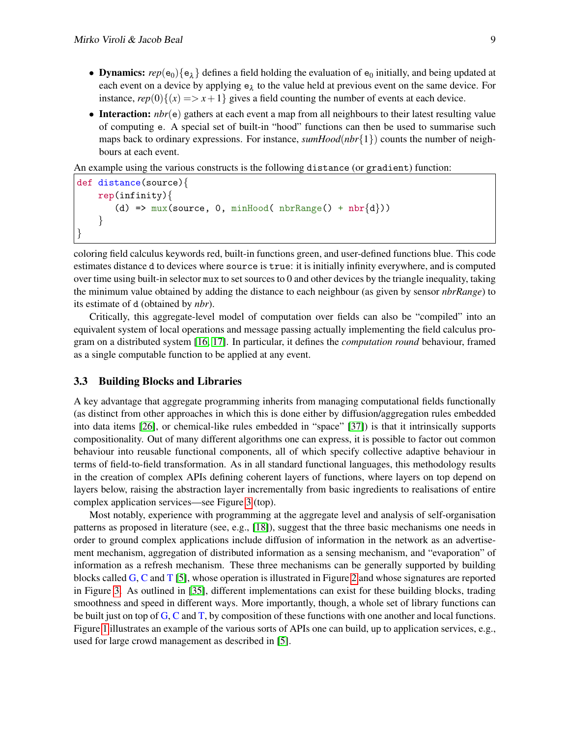- **Dynamics:**  $rep(e_0) \{e_{\lambda}\}\$  defines a field holding the evaluation of  $e_0$  initially, and being updated at each event on a device by applying  $e_{\lambda}$  to the value held at previous event on the same device. For instance,  $rep(0)\{(x) = x + 1\}$  gives a field counting the number of events at each device.
- Interaction: *nbr*(e) gathers at each event a map from all neighbours to their latest resulting value of computing e. A special set of built-in "hood" functions can then be used to summarise such maps back to ordinary expressions. For instance, *sumHood*(*nbr*{1}) counts the number of neighbours at each event.

An example using the various constructs is the following distance (or gradient) function:

```
def distance(source){
     rep(infinity){
         (d) => \max(\text{source}, 0, \min \text{Hood}(\text{nbrRange}) + \text{nbr}\{d\}))}
}
```
coloring field calculus keywords red, built-in functions green, and user-defined functions blue. This code estimates distance d to devices where source is true: it is initially infinity everywhere, and is computed over time using built-in selector mux to set sources to 0 and other devices by the triangle inequality, taking the minimum value obtained by adding the distance to each neighbour (as given by sensor *nbrRange*) to its estimate of d (obtained by *nbr*).

Critically, this aggregate-level model of computation over fields can also be "compiled" into an equivalent system of local operations and message passing actually implementing the field calculus program on a distributed system [\[16,](#page-12-12) [17\]](#page-12-10). In particular, it defines the *computation round* behaviour, framed as a single computable function to be applied at any event.

#### 3.3 Building Blocks and Libraries

A key advantage that aggregate programming inherits from managing computational fields functionally (as distinct from other approaches in which this is done either by diffusion/aggregation rules embedded into data items [\[26\]](#page-12-0), or chemical-like rules embedded in "space" [\[37\]](#page-13-6)) is that it intrinsically supports compositionality. Out of many different algorithms one can express, it is possible to factor out common behaviour into reusable functional components, all of which specify collective adaptive behaviour in terms of field-to-field transformation. As in all standard functional languages, this methodology results in the creation of complex APIs defining coherent layers of functions, where layers on top depend on layers below, raising the abstraction layer incrementally from basic ingredients to realisations of entire complex application services—see Figure [3](#page-1-1) (top).

Most notably, experience with programming at the aggregate level and analysis of self-organisation patterns as proposed in literature (see, e.g., [\[18\]](#page-12-13)), suggest that the three basic mechanisms one needs in order to ground complex applications include diffusion of information in the network as an advertisement mechanism, aggregation of distributed information as a sensing mechanism, and "evaporation" of information as a refresh mechanism. These three mechanisms can be generally supported by building blocks called G, C and T [\[5\]](#page-11-5), whose operation is illustrated in Figure [2](#page-5-1) and whose signatures are reported in Figure [3.](#page-5-2) As outlined in [\[35\]](#page-13-7), different implementations can exist for these building blocks, trading smoothness and speed in different ways. More importantly, though, a whole set of library functions can be built just on top of G, C and T, by composition of these functions with one another and local functions. Figure [1](#page-2-0) illustrates an example of the various sorts of APIs one can build, up to application services, e.g., used for large crowd management as described in [\[5\]](#page-11-5).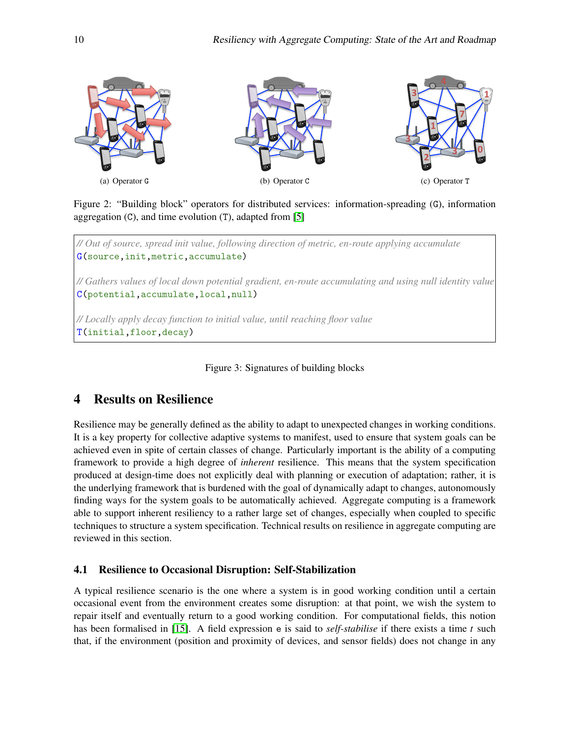

<span id="page-5-1"></span>Figure 2: "Building block" operators for distributed services: information-spreading (G), information aggregation  $(C)$ , and time evolution  $(T)$ , adapted from [\[5\]](#page-11-5)

*// Out of source, spread init value, following direction of metric, en-route applying accumulate* G(source,init,metric,accumulate) *// Gathers values of local down potential gradient, en-route accumulating and using null identity value* C(potential,accumulate,local,null) *// Locally apply decay function to initial value, until reaching floor value* T(initial,floor,decay)

<span id="page-5-2"></span>Figure 3: Signatures of building blocks

## <span id="page-5-0"></span>4 Results on Resilience

Resilience may be generally defined as the ability to adapt to unexpected changes in working conditions. It is a key property for collective adaptive systems to manifest, used to ensure that system goals can be achieved even in spite of certain classes of change. Particularly important is the ability of a computing framework to provide a high degree of *inherent* resilience. This means that the system specification produced at design-time does not explicitly deal with planning or execution of adaptation; rather, it is the underlying framework that is burdened with the goal of dynamically adapt to changes, autonomously finding ways for the system goals to be automatically achieved. Aggregate computing is a framework able to support inherent resiliency to a rather large set of changes, especially when coupled to specific techniques to structure a system specification. Technical results on resilience in aggregate computing are reviewed in this section.

### 4.1 Resilience to Occasional Disruption: Self-Stabilization

A typical resilience scenario is the one where a system is in good working condition until a certain occasional event from the environment creates some disruption: at that point, we wish the system to repair itself and eventually return to a good working condition. For computational fields, this notion has been formalised in [\[15\]](#page-12-14). A field expression e is said to *self-stabilise* if there exists a time *t* such that, if the environment (position and proximity of devices, and sensor fields) does not change in any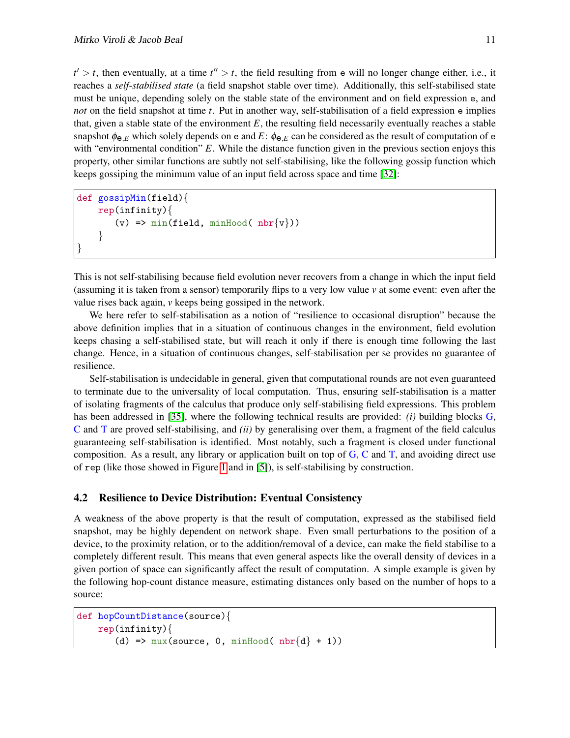$t' > t$ , then eventually, at a time  $t'' > t$ , the field resulting from e will no longer change either, i.e., it reaches a *self-stabilised state* (a field snapshot stable over time). Additionally, this self-stabilised state must be unique, depending solely on the stable state of the environment and on field expression e, and *not* on the field snapshot at time *t*. Put in another way, self-stabilisation of a field expression e implies that, given a stable state of the environment  $E$ , the resulting field necessarily eventually reaches a stable snapshot  $\phi_{\Theta,E}$  which solely depends on e and *E*:  $\phi_{\Theta,E}$  can be considered as the result of computation of e with "environmental condition" *E*. While the distance function given in the previous section enjoys this property, other similar functions are subtly not self-stabilising, like the following gossip function which keeps gossiping the minimum value of an input field across space and time [\[32\]](#page-13-8):

```
def gossipMin(field){
    rep(infinity){
       (v) => min(field, minHood( nbr{v}))}
}
```
This is not self-stabilising because field evolution never recovers from a change in which the input field (assuming it is taken from a sensor) temporarily flips to a very low value *v* at some event: even after the value rises back again, *v* keeps being gossiped in the network.

We here refer to self-stabilisation as a notion of "resilience to occasional disruption" because the above definition implies that in a situation of continuous changes in the environment, field evolution keeps chasing a self-stabilised state, but will reach it only if there is enough time following the last change. Hence, in a situation of continuous changes, self-stabilisation per se provides no guarantee of resilience.

Self-stabilisation is undecidable in general, given that computational rounds are not even guaranteed to terminate due to the universality of local computation. Thus, ensuring self-stabilisation is a matter of isolating fragments of the calculus that produce only self-stabilising field expressions. This problem has been addressed in [\[35\]](#page-13-7), where the following technical results are provided: *(i)* building blocks G, C and T are proved self-stabilising, and *(ii)* by generalising over them, a fragment of the field calculus guaranteeing self-stabilisation is identified. Most notably, such a fragment is closed under functional composition. As a result, any library or application built on top of  $G$ ,  $C$  and  $T$ , and avoiding direct use of rep (like those showed in Figure [1](#page-2-0) and in [\[5\]](#page-11-5)), is self-stabilising by construction.

### 4.2 Resilience to Device Distribution: Eventual Consistency

A weakness of the above property is that the result of computation, expressed as the stabilised field snapshot, may be highly dependent on network shape. Even small perturbations to the position of a device, to the proximity relation, or to the addition/removal of a device, can make the field stabilise to a completely different result. This means that even general aspects like the overall density of devices in a given portion of space can significantly affect the result of computation. A simple example is given by the following hop-count distance measure, estimating distances only based on the number of hops to a source:

```
def hopCountDistance(source){
     rep(infinity){
          (d) => \text{mux}(\text{source}, 0, \text{minHood}( \text{nbr}\{\text{d}\} + 1))
```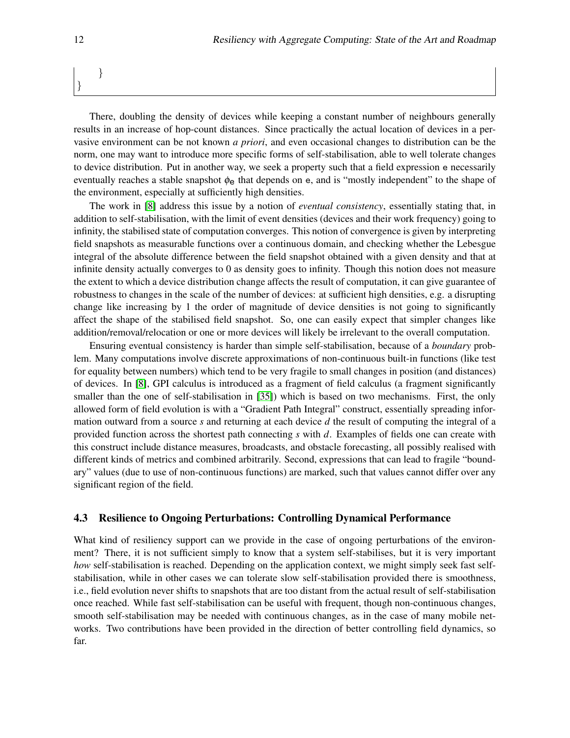## } }

There, doubling the density of devices while keeping a constant number of neighbours generally results in an increase of hop-count distances. Since practically the actual location of devices in a pervasive environment can be not known *a priori*, and even occasional changes to distribution can be the norm, one may want to introduce more specific forms of self-stabilisation, able to well tolerate changes to device distribution. Put in another way, we seek a property such that a field expression e necessarily eventually reaches a stable snapshot  $\phi_e$  that depends on e, and is "mostly independent" to the shape of the environment, especially at sufficiently high densities.

The work in [\[8\]](#page-11-8) address this issue by a notion of *eventual consistency*, essentially stating that, in addition to self-stabilisation, with the limit of event densities (devices and their work frequency) going to infinity, the stabilised state of computation converges. This notion of convergence is given by interpreting field snapshots as measurable functions over a continuous domain, and checking whether the Lebesgue integral of the absolute difference between the field snapshot obtained with a given density and that at infinite density actually converges to 0 as density goes to infinity. Though this notion does not measure the extent to which a device distribution change affects the result of computation, it can give guarantee of robustness to changes in the scale of the number of devices: at sufficient high densities, e.g. a disrupting change like increasing by 1 the order of magnitude of device densities is not going to significantly affect the shape of the stabilised field snapshot. So, one can easily expect that simpler changes like addition/removal/relocation or one or more devices will likely be irrelevant to the overall computation.

Ensuring eventual consistency is harder than simple self-stabilisation, because of a *boundary* problem. Many computations involve discrete approximations of non-continuous built-in functions (like test for equality between numbers) which tend to be very fragile to small changes in position (and distances) of devices. In [\[8\]](#page-11-8), GPI calculus is introduced as a fragment of field calculus (a fragment significantly smaller than the one of self-stabilisation in [\[35\]](#page-13-7)) which is based on two mechanisms. First, the only allowed form of field evolution is with a "Gradient Path Integral" construct, essentially spreading information outward from a source *s* and returning at each device *d* the result of computing the integral of a provided function across the shortest path connecting *s* with *d*. Examples of fields one can create with this construct include distance measures, broadcasts, and obstacle forecasting, all possibly realised with different kinds of metrics and combined arbitrarily. Second, expressions that can lead to fragile "boundary" values (due to use of non-continuous functions) are marked, such that values cannot differ over any significant region of the field.

#### 4.3 Resilience to Ongoing Perturbations: Controlling Dynamical Performance

What kind of resiliency support can we provide in the case of ongoing perturbations of the environment? There, it is not sufficient simply to know that a system self-stabilises, but it is very important *how* self-stabilisation is reached. Depending on the application context, we might simply seek fast selfstabilisation, while in other cases we can tolerate slow self-stabilisation provided there is smoothness, i.e., field evolution never shifts to snapshots that are too distant from the actual result of self-stabilisation once reached. While fast self-stabilisation can be useful with frequent, though non-continuous changes, smooth self-stabilisation may be needed with continuous changes, as in the case of many mobile networks. Two contributions have been provided in the direction of better controlling field dynamics, so far.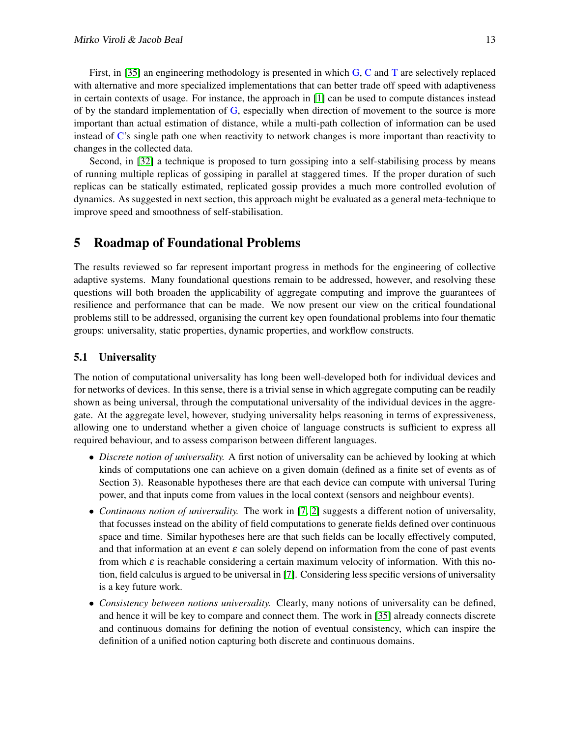First, in [\[35\]](#page-13-7) an engineering methodology is presented in which G, C and T are selectively replaced with alternative and more specialized implementations that can better trade off speed with adaptiveness in certain contexts of usage. For instance, the approach in [\[1\]](#page-11-9) can be used to compute distances instead of by the standard implementation of G, especially when direction of movement to the source is more important than actual estimation of distance, while a multi-path collection of information can be used instead of C's single path one when reactivity to network changes is more important than reactivity to changes in the collected data.

Second, in [\[32\]](#page-13-8) a technique is proposed to turn gossiping into a self-stabilising process by means of running multiple replicas of gossiping in parallel at staggered times. If the proper duration of such replicas can be statically estimated, replicated gossip provides a much more controlled evolution of dynamics. As suggested in next section, this approach might be evaluated as a general meta-technique to improve speed and smoothness of self-stabilisation.

### <span id="page-8-0"></span>5 Roadmap of Foundational Problems

The results reviewed so far represent important progress in methods for the engineering of collective adaptive systems. Many foundational questions remain to be addressed, however, and resolving these questions will both broaden the applicability of aggregate computing and improve the guarantees of resilience and performance that can be made. We now present our view on the critical foundational problems still to be addressed, organising the current key open foundational problems into four thematic groups: universality, static properties, dynamic properties, and workflow constructs.

### 5.1 Universality

The notion of computational universality has long been well-developed both for individual devices and for networks of devices. In this sense, there is a trivial sense in which aggregate computing can be readily shown as being universal, through the computational universality of the individual devices in the aggregate. At the aggregate level, however, studying universality helps reasoning in terms of expressiveness, allowing one to understand whether a given choice of language constructs is sufficient to express all required behaviour, and to assess comparison between different languages.

- *Discrete notion of universality.* A first notion of universality can be achieved by looking at which kinds of computations one can achieve on a given domain (defined as a finite set of events as of Section 3). Reasonable hypotheses there are that each device can compute with universal Turing power, and that inputs come from values in the local context (sensors and neighbour events).
- *Continuous notion of universality.* The work in [\[7,](#page-11-10) [2\]](#page-11-11) suggests a different notion of universality, that focusses instead on the ability of field computations to generate fields defined over continuous space and time. Similar hypotheses here are that such fields can be locally effectively computed, and that information at an event  $\varepsilon$  can solely depend on information from the cone of past events from which  $\varepsilon$  is reachable considering a certain maximum velocity of information. With this notion, field calculus is argued to be universal in [\[7\]](#page-11-10). Considering less specific versions of universality is a key future work.
- *Consistency between notions universality.* Clearly, many notions of universality can be defined, and hence it will be key to compare and connect them. The work in [\[35\]](#page-13-7) already connects discrete and continuous domains for defining the notion of eventual consistency, which can inspire the definition of a unified notion capturing both discrete and continuous domains.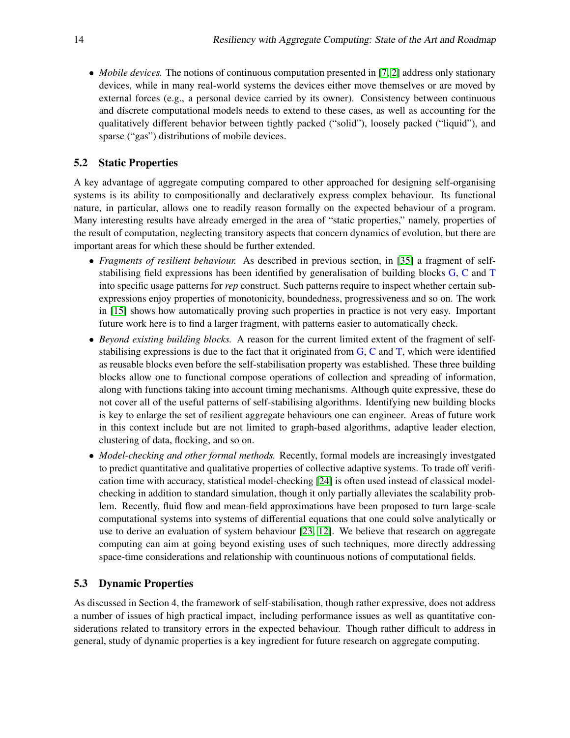• *Mobile devices.* The notions of continuous computation presented in [\[7,](#page-11-10) [2\]](#page-11-11) address only stationary devices, while in many real-world systems the devices either move themselves or are moved by external forces (e.g., a personal device carried by its owner). Consistency between continuous and discrete computational models needs to extend to these cases, as well as accounting for the qualitatively different behavior between tightly packed ("solid"), loosely packed ("liquid"), and sparse ("gas") distributions of mobile devices.

### 5.2 Static Properties

A key advantage of aggregate computing compared to other approached for designing self-organising systems is its ability to compositionally and declaratively express complex behaviour. Its functional nature, in particular, allows one to readily reason formally on the expected behaviour of a program. Many interesting results have already emerged in the area of "static properties," namely, properties of the result of computation, neglecting transitory aspects that concern dynamics of evolution, but there are important areas for which these should be further extended.

- *Fragments of resilient behaviour.* As described in previous section, in [\[35\]](#page-13-7) a fragment of selfstabilising field expressions has been identified by generalisation of building blocks G, C and T into specific usage patterns for *rep* construct. Such patterns require to inspect whether certain subexpressions enjoy properties of monotonicity, boundedness, progressiveness and so on. The work in [\[15\]](#page-12-14) shows how automatically proving such properties in practice is not very easy. Important future work here is to find a larger fragment, with patterns easier to automatically check.
- *Beyond existing building blocks.* A reason for the current limited extent of the fragment of selfstabilising expressions is due to the fact that it originated from  $G$ ,  $C$  and  $T$ , which were identified as reusable blocks even before the self-stabilisation property was established. These three building blocks allow one to functional compose operations of collection and spreading of information, along with functions taking into account timing mechanisms. Although quite expressive, these do not cover all of the useful patterns of self-stabilising algorithms. Identifying new building blocks is key to enlarge the set of resilient aggregate behaviours one can engineer. Areas of future work in this context include but are not limited to graph-based algorithms, adaptive leader election, clustering of data, flocking, and so on.
- *Model-checking and other formal methods*. Recently, formal models are increasingly investgated to predict quantitative and qualitative properties of collective adaptive systems. To trade off verification time with accuracy, statistical model-checking [\[24\]](#page-12-15) is often used instead of classical modelchecking in addition to standard simulation, though it only partially alleviates the scalability problem. Recently, fluid flow and mean-field approximations have been proposed to turn large-scale computational systems into systems of differential equations that one could solve analytically or use to derive an evaluation of system behaviour [\[23,](#page-12-16) [12\]](#page-11-12). We believe that research on aggregate computing can aim at going beyond existing uses of such techniques, more directly addressing space-time considerations and relationship with countinuous notions of computational fields.

### 5.3 Dynamic Properties

As discussed in Section 4, the framework of self-stabilisation, though rather expressive, does not address a number of issues of high practical impact, including performance issues as well as quantitative considerations related to transitory errors in the expected behaviour. Though rather difficult to address in general, study of dynamic properties is a key ingredient for future research on aggregate computing.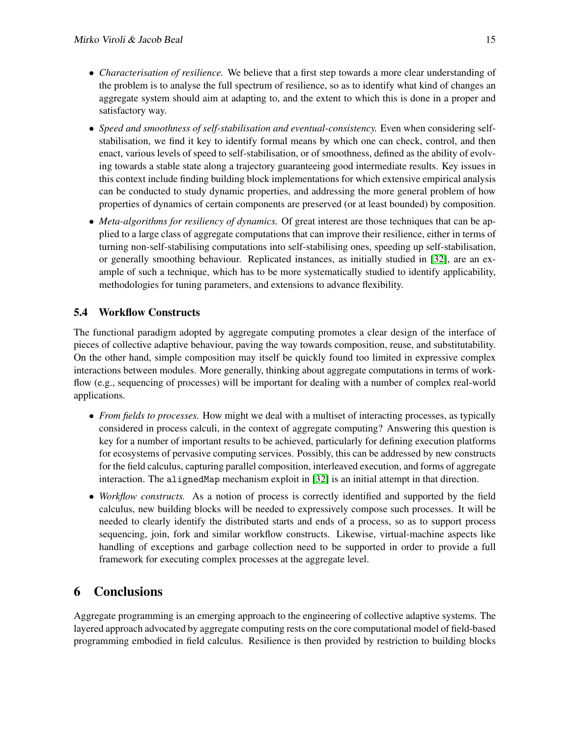- *Characterisation of resilience.* We believe that a first step towards a more clear understanding of the problem is to analyse the full spectrum of resilience, so as to identify what kind of changes an aggregate system should aim at adapting to, and the extent to which this is done in a proper and satisfactory way.
- *Speed and smoothness of self-stabilisation and eventual-consistency.* Even when considering selfstabilisation, we find it key to identify formal means by which one can check, control, and then enact, various levels of speed to self-stabilisation, or of smoothness, defined as the ability of evolving towards a stable state along a trajectory guaranteeing good intermediate results. Key issues in this context include finding building block implementations for which extensive empirical analysis can be conducted to study dynamic properties, and addressing the more general problem of how properties of dynamics of certain components are preserved (or at least bounded) by composition.
- *Meta-algorithms for resiliency of dynamics.* Of great interest are those techniques that can be applied to a large class of aggregate computations that can improve their resilience, either in terms of turning non-self-stabilising computations into self-stabilising ones, speeding up self-stabilisation, or generally smoothing behaviour. Replicated instances, as initially studied in [\[32\]](#page-13-8), are an example of such a technique, which has to be more systematically studied to identify applicability, methodologies for tuning parameters, and extensions to advance flexibility.

## 5.4 Workflow Constructs

The functional paradigm adopted by aggregate computing promotes a clear design of the interface of pieces of collective adaptive behaviour, paving the way towards composition, reuse, and substitutability. On the other hand, simple composition may itself be quickly found too limited in expressive complex interactions between modules. More generally, thinking about aggregate computations in terms of workflow (e.g., sequencing of processes) will be important for dealing with a number of complex real-world applications.

- *From fields to processes.* How might we deal with a multiset of interacting processes, as typically considered in process calculi, in the context of aggregate computing? Answering this question is key for a number of important results to be achieved, particularly for defining execution platforms for ecosystems of pervasive computing services. Possibly, this can be addressed by new constructs for the field calculus, capturing parallel composition, interleaved execution, and forms of aggregate interaction. The alignedMap mechanism exploit in [\[32\]](#page-13-8) is an initial attempt in that direction.
- *Workflow constructs.* As a notion of process is correctly identified and supported by the field calculus, new building blocks will be needed to expressively compose such processes. It will be needed to clearly identify the distributed starts and ends of a process, so as to support process sequencing, join, fork and similar workflow constructs. Likewise, virtual-machine aspects like handling of exceptions and garbage collection need to be supported in order to provide a full framework for executing complex processes at the aggregate level.

## <span id="page-10-0"></span>6 Conclusions

Aggregate programming is an emerging approach to the engineering of collective adaptive systems. The layered approach advocated by aggregate computing rests on the core computational model of field-based programming embodied in field calculus. Resilience is then provided by restriction to building blocks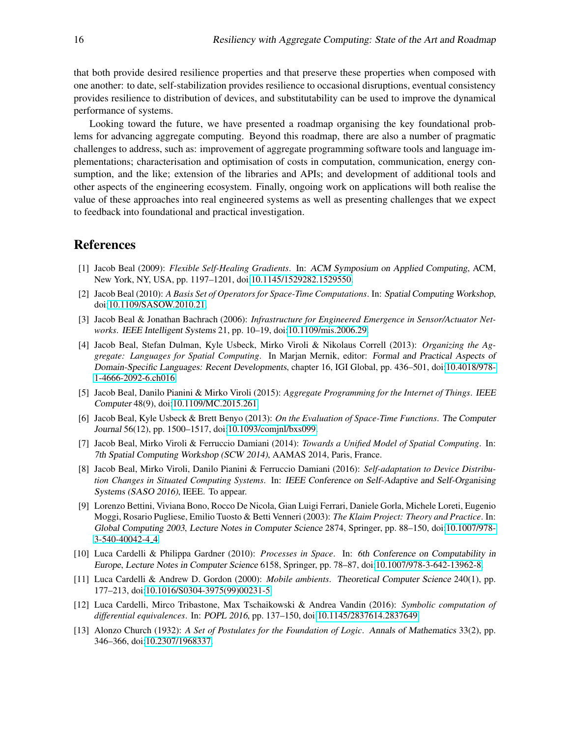that both provide desired resilience properties and that preserve these properties when composed with one another: to date, self-stabilization provides resilience to occasional disruptions, eventual consistency provides resilience to distribution of devices, and substitutability can be used to improve the dynamical performance of systems.

Looking toward the future, we have presented a roadmap organising the key foundational problems for advancing aggregate computing. Beyond this roadmap, there are also a number of pragmatic challenges to address, such as: improvement of aggregate programming software tools and language implementations; characterisation and optimisation of costs in computation, communication, energy consumption, and the like; extension of the libraries and APIs; and development of additional tools and other aspects of the engineering ecosystem. Finally, ongoing work on applications will both realise the value of these approaches into real engineered systems as well as presenting challenges that we expect to feedback into foundational and practical investigation.

### References

- <span id="page-11-9"></span>[1] Jacob Beal (2009): *Flexible Self-Healing Gradients*. In: ACM Symposium on Applied Computing, ACM, New York, NY, USA, pp. 1197–1201, doi[:10.1145/1529282.1529550.](http://dx.doi.org/10.1145/1529282.1529550)
- <span id="page-11-11"></span>[2] Jacob Beal (2010): *A Basis Set of Operators for Space-Time Computations*. In: Spatial Computing Workshop, doi[:10.1109/SASOW.2010.21.](http://dx.doi.org/10.1109/SASOW.2010.21)
- <span id="page-11-4"></span>[3] Jacob Beal & Jonathan Bachrach (2006): *Infrastructure for Engineered Emergence in Sensor/Actuator Networks*. IEEE Intelligent Systems 21, pp. 10–19, doi[:10.1109/mis.2006.29.](http://dx.doi.org/10.1109/mis.2006.29)
- <span id="page-11-0"></span>[4] Jacob Beal, Stefan Dulman, Kyle Usbeck, Mirko Viroli & Nikolaus Correll (2013): *Organizing the Aggregate: Languages for Spatial Computing*. In Marjan Mernik, editor: Formal and Practical Aspects of Domain-Specific Languages: Recent Developments, chapter 16, IGI Global, pp. 436–501, doi[:10.4018/978-](http://dx.doi.org/10.4018/978-1-4666-2092-6.ch016) [1-4666-2092-6.ch016.](http://dx.doi.org/10.4018/978-1-4666-2092-6.ch016)
- <span id="page-11-5"></span>[5] Jacob Beal, Danilo Pianini & Mirko Viroli (2015): *Aggregate Programming for the Internet of Things*. IEEE Computer 48(9), doi[:10.1109/MC.2015.261.](http://dx.doi.org/10.1109/MC.2015.261)
- <span id="page-11-6"></span>[6] Jacob Beal, Kyle Usbeck & Brett Benyo (2013): *On the Evaluation of Space-Time Functions*. The Computer Journal 56(12), pp. 1500–1517, doi[:10.1093/comjnl/bxs099.](http://dx.doi.org/10.1093/comjnl/bxs099)
- <span id="page-11-10"></span>[7] Jacob Beal, Mirko Viroli & Ferruccio Damiani (2014): *Towards a Unified Model of Spatial Computing*. In: 7th Spatial Computing Workshop (SCW 2014), AAMAS 2014, Paris, France.
- <span id="page-11-8"></span>[8] Jacob Beal, Mirko Viroli, Danilo Pianini & Ferruccio Damiani (2016): *Self-adaptation to Device Distribution Changes in Situated Computing Systems*. In: IEEE Conference on Self-Adaptive and Self-Organising Systems (SASO 2016), IEEE. To appear.
- <span id="page-11-3"></span>[9] Lorenzo Bettini, Viviana Bono, Rocco De Nicola, Gian Luigi Ferrari, Daniele Gorla, Michele Loreti, Eugenio Moggi, Rosario Pugliese, Emilio Tuosto & Betti Venneri (2003): *The Klaim Project: Theory and Practice*. In: Global Computing 2003, Lecture Notes in Computer Science 2874, Springer, pp. 88–150, doi[:10.1007/978-](http://dx.doi.org/10.1007/978-3-540-40042-4_4) [3-540-40042-4](http://dx.doi.org/10.1007/978-3-540-40042-4_4)\_4.
- <span id="page-11-1"></span>[10] Luca Cardelli & Philippa Gardner (2010): *Processes in Space*. In: 6th Conference on Computability in Europe, Lecture Notes in Computer Science 6158, Springer, pp. 78–87, doi[:10.1007/978-3-642-13962-8.](http://dx.doi.org/10.1007/978-3-642-13962-8)
- <span id="page-11-2"></span>[11] Luca Cardelli & Andrew D. Gordon (2000): *Mobile ambients*. Theoretical Computer Science 240(1), pp. 177–213, doi[:10.1016/S0304-3975\(99\)00231-5.](http://dx.doi.org/10.1016/S0304-3975(99)00231-5)
- <span id="page-11-12"></span>[12] Luca Cardelli, Mirco Tribastone, Max Tschaikowski & Andrea Vandin (2016): *Symbolic computation of differential equivalences*. In: POPL 2016, pp. 137–150, doi[:10.1145/2837614.2837649.](http://dx.doi.org/10.1145/2837614.2837649)
- <span id="page-11-7"></span>[13] Alonzo Church (1932): *A Set of Postulates for the Foundation of Logic*. Annals of Mathematics 33(2), pp. 346–366, doi[:10.2307/1968337.](http://dx.doi.org/10.2307/1968337)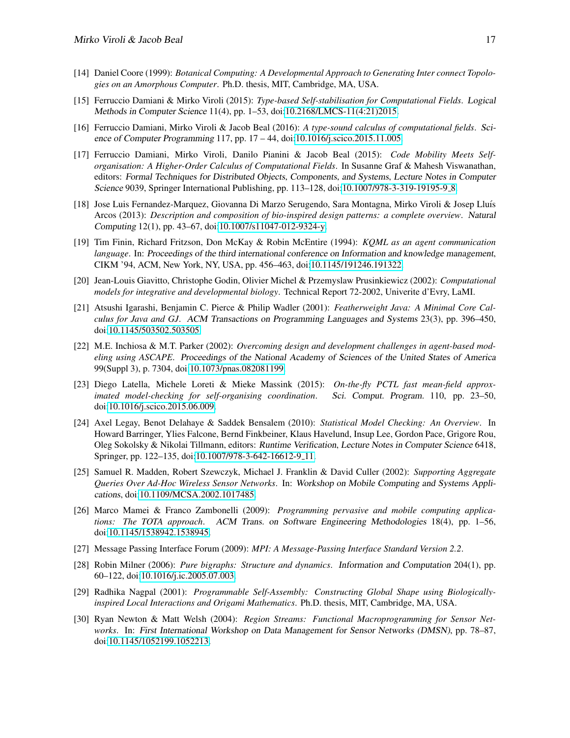- <span id="page-12-4"></span>[14] Daniel Coore (1999): *Botanical Computing: A Developmental Approach to Generating Inter connect Topologies on an Amorphous Computer*. Ph.D. thesis, MIT, Cambridge, MA, USA.
- <span id="page-12-14"></span>[15] Ferruccio Damiani & Mirko Viroli (2015): *Type-based Self-stabilisation for Computational Fields*. Logical Methods in Computer Science 11(4), pp. 1–53, doi[:10.2168/LMCS-11\(4:21\)2015.](http://dx.doi.org/10.2168/LMCS-11(4:21)2015)
- <span id="page-12-12"></span>[16] Ferruccio Damiani, Mirko Viroli & Jacob Beal (2016): *A type-sound calculus of computational fields*. Science of Computer Programming 117, pp. 17 – 44, doi[:10.1016/j.scico.2015.11.005.](http://dx.doi.org/10.1016/j.scico.2015.11.005)
- <span id="page-12-10"></span>[17] Ferruccio Damiani, Mirko Viroli, Danilo Pianini & Jacob Beal (2015): *Code Mobility Meets Selforganisation: A Higher-Order Calculus of Computational Fields*. In Susanne Graf & Mahesh Viswanathan, editors: Formal Techniques for Distributed Objects, Components, and Systems, Lecture Notes in Computer Science 9039, Springer International Publishing, pp. 113–128, doi[:10.1007/978-3-319-19195-9](http://dx.doi.org/10.1007/978-3-319-19195-9_8) 8.
- <span id="page-12-13"></span>[18] Jose Luis Fernandez-Marquez, Giovanna Di Marzo Serugendo, Sara Montagna, Mirko Viroli & Josep Lluís Arcos (2013): *Description and composition of bio-inspired design patterns: a complete overview*. Natural Computing 12(1), pp. 43–67, doi[:10.1007/s11047-012-9324-y.](http://dx.doi.org/10.1007/s11047-012-9324-y)
- <span id="page-12-8"></span>[19] Tim Finin, Richard Fritzson, Don McKay & Robin McEntire (1994): *KQML as an agent communication language*. In: Proceedings of the third international conference on Information and knowledge management, CIKM '94, ACM, New York, NY, USA, pp. 456–463, doi[:10.1145/191246.191322.](http://dx.doi.org/10.1145/191246.191322)
- <span id="page-12-9"></span>[20] Jean-Louis Giavitto, Christophe Godin, Olivier Michel & Przemyslaw Prusinkiewicz (2002): *Computational models for integrative and developmental biology*. Technical Report 72-2002, Univerite d'Evry, LaMI.
- <span id="page-12-11"></span>[21] Atsushi Igarashi, Benjamin C. Pierce & Philip Wadler (2001): *Featherweight Java: A Minimal Core Calculus for Java and GJ*. ACM Transactions on Programming Languages and Systems 23(3), pp. 396–450, doi[:10.1145/503502.503505.](http://dx.doi.org/10.1145/503502.503505)
- <span id="page-12-5"></span>[22] M.E. Inchiosa & M.T. Parker (2002): *Overcoming design and development challenges in agent-based modeling using ASCAPE*. Proceedings of the National Academy of Sciences of the United States of America 99(Suppl 3), p. 7304, doi[:10.1073/pnas.082081199.](http://dx.doi.org/10.1073/pnas.082081199)
- <span id="page-12-16"></span>[23] Diego Latella, Michele Loreti & Mieke Massink (2015): *On-the-fly PCTL fast mean-field approximated model-checking for self-organising coordination*. Sci. Comput. Program. 110, pp. 23–50, doi[:10.1016/j.scico.2015.06.009.](http://dx.doi.org/10.1016/j.scico.2015.06.009)
- <span id="page-12-15"></span>[24] Axel Legay, Benot Delahaye & Saddek Bensalem (2010): *Statistical Model Checking: An Overview*. In Howard Barringer, Ylies Falcone, Bernd Finkbeiner, Klaus Havelund, Insup Lee, Gordon Pace, Grigore Rou, Oleg Sokolsky & Nikolai Tillmann, editors: Runtime Verification, Lecture Notes in Computer Science 6418, Springer, pp. 122–135, doi[:10.1007/978-3-642-16612-9](http://dx.doi.org/10.1007/978-3-642-16612-9_11) 11.
- <span id="page-12-6"></span>[25] Samuel R. Madden, Robert Szewczyk, Michael J. Franklin & David Culler (2002): *Supporting Aggregate Queries Over Ad-Hoc Wireless Sensor Networks*. In: Workshop on Mobile Computing and Systems Applications, doi[:10.1109/MCSA.2002.1017485.](http://dx.doi.org/10.1109/MCSA.2002.1017485)
- <span id="page-12-0"></span>[26] Marco Mamei & Franco Zambonelli (2009): *Programming pervasive and mobile computing applications: The TOTA approach*. ACM Trans. on Software Engineering Methodologies 18(4), pp. 1–56, doi[:10.1145/1538942.1538945.](http://dx.doi.org/10.1145/1538942.1538945)
- <span id="page-12-2"></span>[27] Message Passing Interface Forum (2009): *MPI: A Message-Passing Interface Standard Version 2.2*.
- <span id="page-12-1"></span>[28] Robin Milner (2006): *Pure bigraphs: Structure and dynamics*. Information and Computation 204(1), pp. 60–122, doi[:10.1016/j.ic.2005.07.003.](http://dx.doi.org/10.1016/j.ic.2005.07.003)
- <span id="page-12-3"></span>[29] Radhika Nagpal (2001): *Programmable Self-Assembly: Constructing Global Shape using Biologicallyinspired Local Interactions and Origami Mathematics*. Ph.D. thesis, MIT, Cambridge, MA, USA.
- <span id="page-12-7"></span>[30] Ryan Newton & Matt Welsh (2004): *Region Streams: Functional Macroprogramming for Sensor Networks*. In: First International Workshop on Data Management for Sensor Networks (DMSN), pp. 78–87, doi[:10.1145/1052199.1052213.](http://dx.doi.org/10.1145/1052199.1052213)